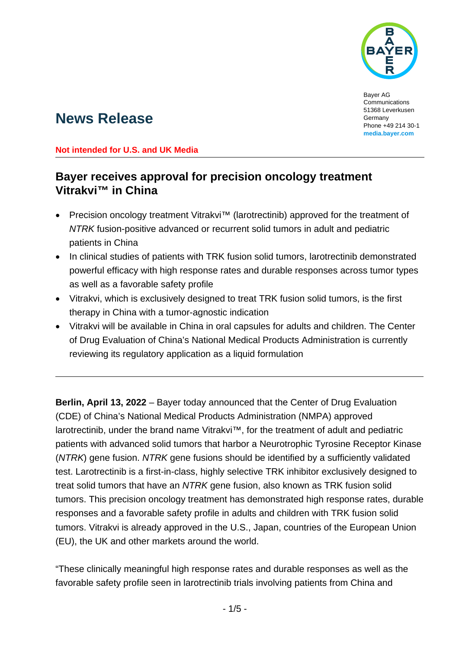

Bayer AG Communications 51368 Leverkusen Germany Phone +49 214 30-1 **[media.bayer.com](http://media.bayer.com/)**

# **News Release**

#### **Not intended for U.S. and UK Media**

## **Bayer receives approval for precision oncology treatment Vitrakvi™ in China**

- Precision oncology treatment Vitrakvi™ (larotrectinib) approved for the treatment of *NTRK* fusion-positive advanced or recurrent solid tumors in adult and pediatric patients in China
- In clinical studies of patients with TRK fusion solid tumors, larotrectinib demonstrated powerful efficacy with high response rates and durable responses across tumor types as well as a favorable safety profile
- Vitrakvi, which is exclusively designed to treat TRK fusion solid tumors, is the first therapy in China with a tumor-agnostic indication
- Vitrakvi will be available in China in oral capsules for adults and children. The Center of Drug Evaluation of China's National Medical Products Administration is currently reviewing its regulatory application as a liquid formulation

**Berlin, April 13, 2022** – Bayer today announced that the Center of Drug Evaluation (CDE) of China's National Medical Products Administration (NMPA) approved larotrectinib, under the brand name Vitrakvi™, for the treatment of adult and pediatric patients with advanced solid tumors that harbor a Neurotrophic Tyrosine Receptor Kinase (*NTRK*) gene fusion. *NTRK* gene fusions should be identified by a sufficiently validated test. Larotrectinib is a first-in-class, highly selective TRK inhibitor exclusively designed to treat solid tumors that have an *NTRK* gene fusion, also known as TRK fusion solid tumors. This precision oncology treatment has demonstrated high response rates, durable responses and a favorable safety profile in adults and children with TRK fusion solid tumors. Vitrakvi is already approved in the U.S., Japan, countries of the European Union (EU), the UK and other markets around the world.

"These clinically meaningful high response rates and durable responses as well as the favorable safety profile seen in larotrectinib trials involving patients from China and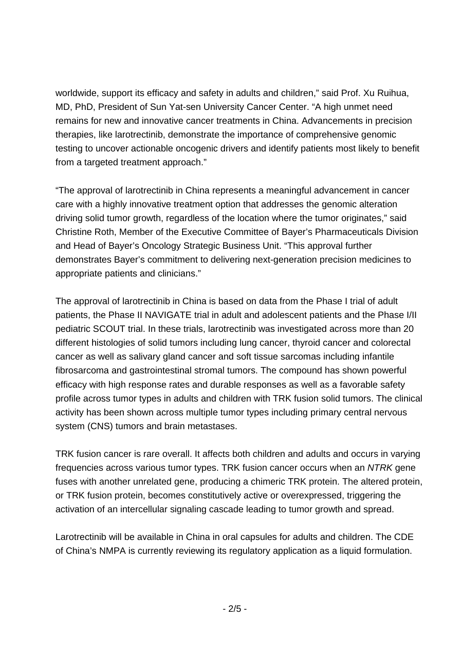worldwide, support its efficacy and safety in adults and children," said Prof. Xu Ruihua, MD, PhD, President of Sun Yat-sen University Cancer Center. "A high unmet need remains for new and innovative cancer treatments in China. Advancements in precision therapies, like larotrectinib, demonstrate the importance of comprehensive genomic testing to uncover actionable oncogenic drivers and identify patients most likely to benefit from a targeted treatment approach."

"The approval of larotrectinib in China represents a meaningful advancement in cancer care with a highly innovative treatment option that addresses the genomic alteration driving solid tumor growth, regardless of the location where the tumor originates," said Christine Roth, Member of the Executive Committee of Bayer's Pharmaceuticals Division and Head of Bayer's Oncology Strategic Business Unit. "This approval further demonstrates Bayer's commitment to delivering next-generation precision medicines to appropriate patients and clinicians."

The approval of larotrectinib in China is based on data from the Phase I trial of adult patients, the Phase II NAVIGATE trial in adult and adolescent patients and the Phase I/II pediatric SCOUT trial. In these trials, larotrectinib was investigated across more than 20 different histologies of solid tumors including lung cancer, thyroid cancer and colorectal cancer as well as salivary gland cancer and soft tissue sarcomas including infantile fibrosarcoma and gastrointestinal stromal tumors. The compound has shown powerful efficacy with high response rates and durable responses as well as a favorable safety profile across tumor types in adults and children with TRK fusion solid tumors. The clinical activity has been shown across multiple tumor types including primary central nervous system (CNS) tumors and brain metastases.

TRK fusion cancer is rare overall. It affects both children and adults and occurs in varying frequencies across various tumor types. TRK fusion cancer occurs when an *NTRK* gene fuses with another unrelated gene, producing a chimeric TRK protein. The altered protein, or TRK fusion protein, becomes constitutively active or overexpressed, triggering the activation of an intercellular signaling cascade leading to tumor growth and spread.

Larotrectinib will be available in China in oral capsules for adults and children. The CDE of China's NMPA is currently reviewing its regulatory application as a liquid formulation.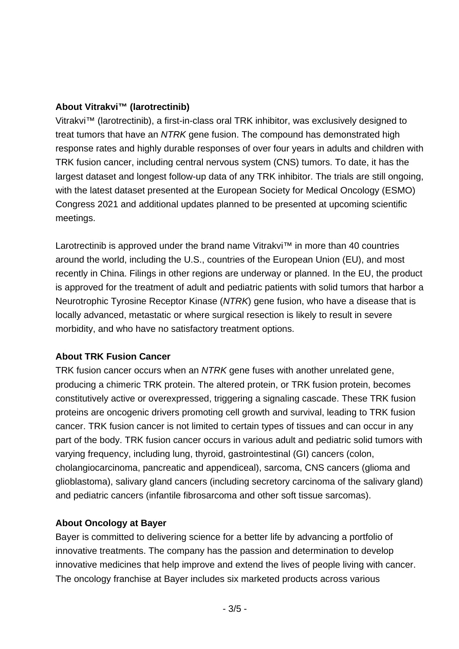#### **About Vitrakvi™ (larotrectinib)**

Vitrakvi™ (larotrectinib), a first-in-class oral TRK inhibitor, was exclusively designed to treat tumors that have an *NTRK* gene fusion. The compound has demonstrated high response rates and highly durable responses of over four years in adults and children with TRK fusion cancer, including central nervous system (CNS) tumors. To date, it has the largest dataset and longest follow-up data of any TRK inhibitor. The trials are still ongoing, with the latest dataset presented at the European Society for Medical Oncology (ESMO) Congress 2021 and additional updates planned to be presented at upcoming scientific meetings.

Larotrectinib is approved under the brand name Vitrakvi™ in more than 40 countries around the world, including the U.S., countries of the European Union (EU), and most recently in China. Filings in other regions are underway or planned. In the EU, the product is approved for the treatment of adult and pediatric patients with solid tumors that harbor a Neurotrophic Tyrosine Receptor Kinase (*NTRK*) gene fusion, who have a disease that is locally advanced, metastatic or where surgical resection is likely to result in severe morbidity, and who have no satisfactory treatment options.

## **About TRK Fusion Cancer**

TRK fusion cancer occurs when an *NTRK* gene fuses with another unrelated gene, producing a chimeric TRK protein. The altered protein, or TRK fusion protein, becomes constitutively active or overexpressed, triggering a signaling cascade. These TRK fusion proteins are oncogenic drivers promoting cell growth and survival, leading to TRK fusion cancer. TRK fusion cancer is not limited to certain types of tissues and can occur in any part of the body. TRK fusion cancer occurs in various adult and pediatric solid tumors with varying frequency, including lung, thyroid, gastrointestinal (GI) cancers (colon, cholangiocarcinoma, pancreatic and appendiceal), sarcoma, CNS cancers (glioma and glioblastoma), salivary gland cancers (including secretory carcinoma of the salivary gland) and pediatric cancers (infantile fibrosarcoma and other soft tissue sarcomas).

## **About Oncology at Bayer**

Bayer is committed to delivering science for a better life by advancing a portfolio of innovative treatments. The company has the passion and determination to develop innovative medicines that help improve and extend the lives of people living with cancer. The oncology franchise at Bayer includes six marketed products across various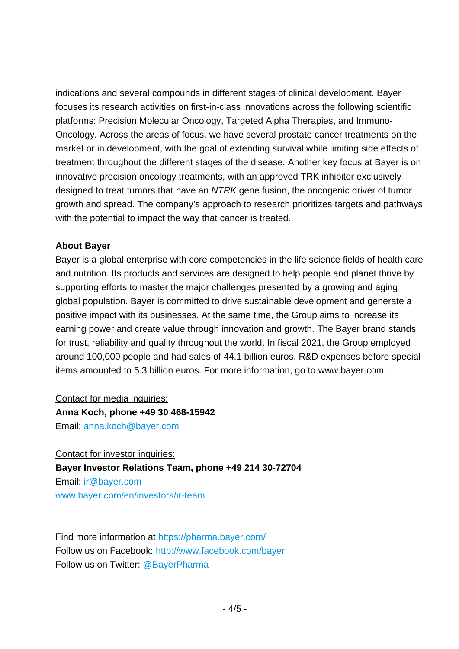indications and several compounds in different stages of clinical development. Bayer focuses its research activities on first-in-class innovations across the following scientific platforms: Precision Molecular Oncology, Targeted Alpha Therapies, and Immuno-Oncology. Across the areas of focus, we have several prostate cancer treatments on the market or in development, with the goal of extending survival while limiting side effects of treatment throughout the different stages of the disease. Another key focus at Bayer is on innovative precision oncology treatments, with an approved TRK inhibitor exclusively designed to treat tumors that have an *NTRK* gene fusion, the oncogenic driver of tumor growth and spread. The company's approach to research prioritizes targets and pathways with the potential to impact the way that cancer is treated.

#### **About Bayer**

Bayer is a global enterprise with core competencies in the life science fields of health care and nutrition. Its products and services are designed to help people and planet thrive by supporting efforts to master the major challenges presented by a growing and aging global population. Bayer is committed to drive sustainable development and generate a positive impact with its businesses. At the same time, the Group aims to increase its earning power and create value through innovation and growth. The Bayer brand stands for trust, reliability and quality throughout the world. In fiscal 2021, the Group employed around 100,000 people and had sales of 44.1 billion euros. R&D expenses before special items amounted to 5.3 billion euros. For more information, go to [www.bayer.com.](http://www.bayer.com/)

Contact for media inquiries: **Anna Koch, phone +49 30 468-15942** Email: [anna.koch@bayer.com](mailto:anna.koch@bayer.com)

Contact for investor inquiries: **Bayer Investor Relations Team, phone +49 214 30-72704** Email: [ir@bayer.com](mailto:ir@bayer.com) [www.bayer.com/en/investors/ir-team](https://www.bayer.com/en/investors/ir-team)

Find more information at<https://pharma.bayer.com/> Follow us on Facebook:<http://www.facebook.com/bayer> Follow us on Twitter: [@BayerPharma](https://twitter.com/bayerpharma)